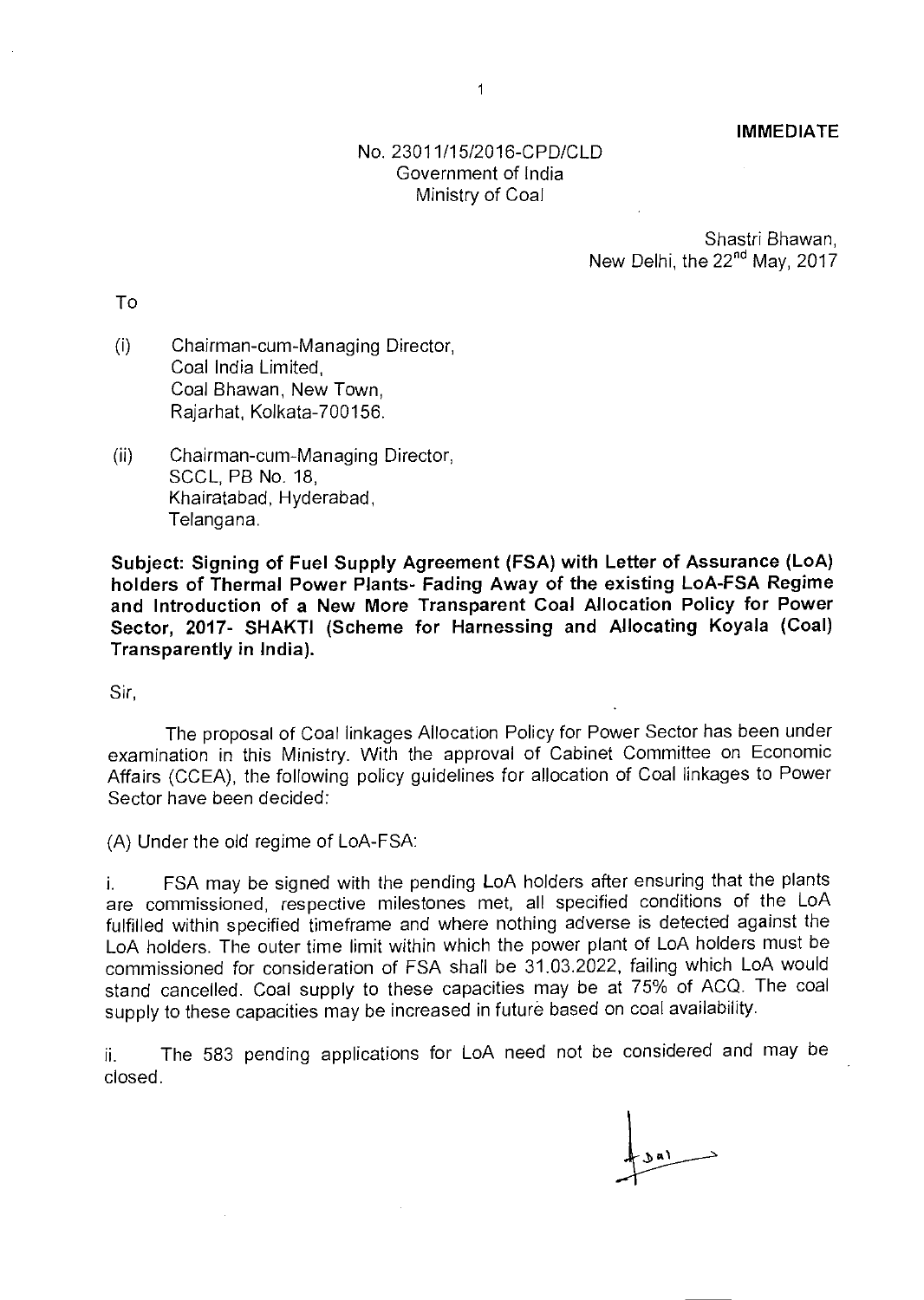**IMMEDIATE** 

## No. 23011/15/2016-CPD/CLD Government of India Ministry of Coal

Shastri Bhawan, New Delhi, the  $22<sup>nd</sup>$  May,  $2017$ 

To

- Chairman-cum-Managing Director,  $(i)$ Coal India Limited, Coal Bhawan, New Town, Rajarhat, Kolkata-700156.
- (ii) Chairman-cum-Managing Director, SCCL, PB No. 18, Khairatabad, Hyderabad, Telangana.

**Subject: Signing of Fuel Supply Agreement (FSA) with Letter of Assurance (LoA) holders of Thermal Power Plants- Fading Away of the existing LoA-FSA Regime and Introduction of a New More Transparent Coal Allocation Policy for Power Sector, 2017- SHAKTI (Scheme for Harnessing and Allocating Koyala (Coal) Transparently in India).** 

Sir,

The proposal of Coal linkages Allocation Policy for Power Sector has been under examination in this Ministry. With the approval of Cabinet Committee on Economic Affairs (CCEA), the following policy guidelines for allocation of Coal linkages to Power Sector have been decided:

(A) Under the old regime of LoA-FSA:

i. FSA may be signed with the pending LoA holders after ensuring that the plants are commissioned, respective milestones met, all specified conditions of the LoA fulfilled within specified timeframe and where nothing adverse is detected against the LoA holders. The outer time limit within which the power plant of LoA holders must be commissioned for consideration of FSA shall be 31.03.2022, failing which LoA would stand cancelled. Coal supply to these capacities may be at 75% of ACQ. The coal supply to these capacities may be increased in future based on coal availability.

i. The 583 pending applications for LoA need not be considered and may be closed.

3a1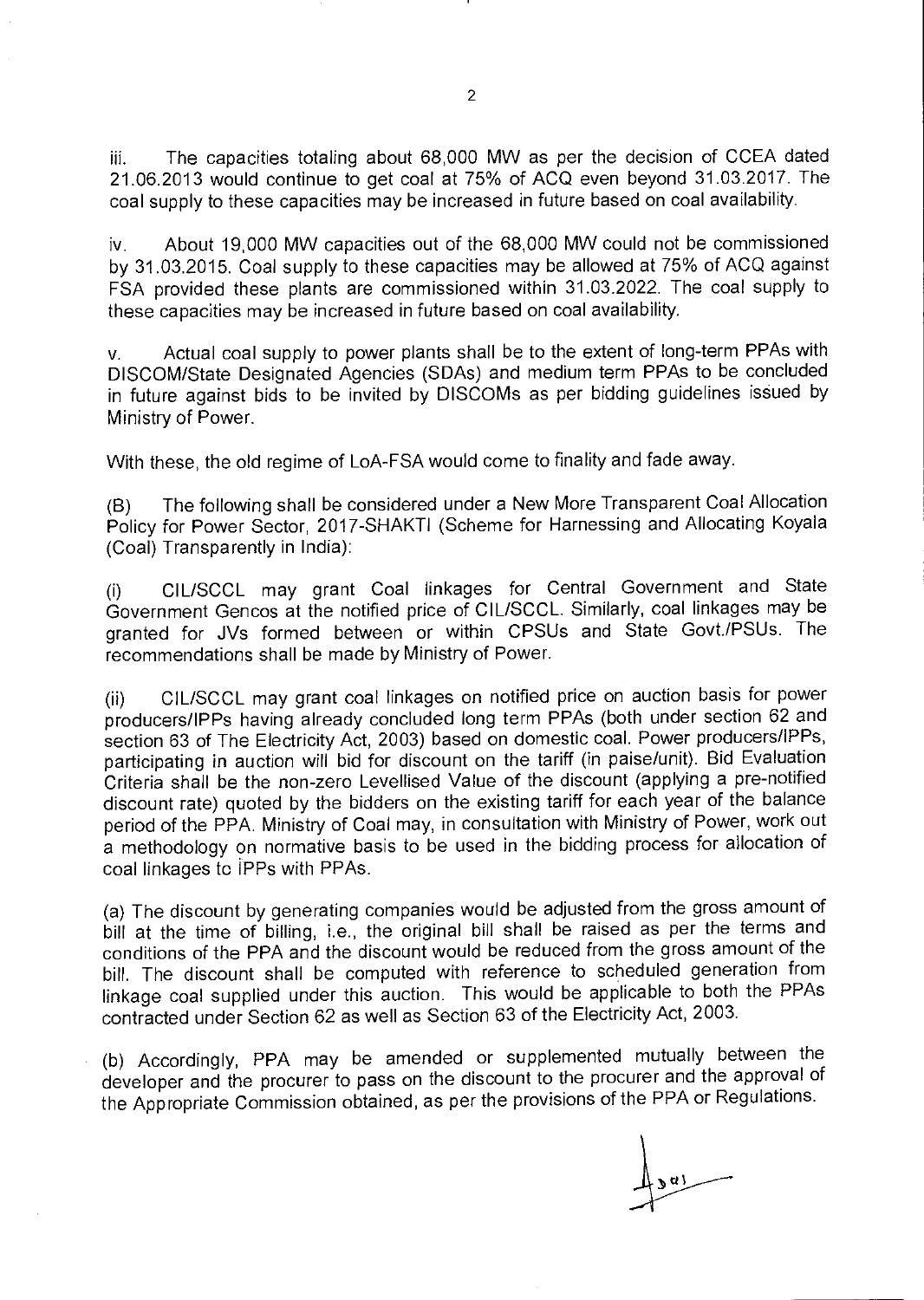iii. The capacities totaling about 68,000 MW as per the decision of CCEA dated 21.06.2013 would continue to get coal at 75% of ACQ even beyond 31.03.2017. The coal supply to these capacities may be increased in future based on coal availability.

iv. About 19,000 MW capacities out of the 68,000 MW could not be commissioned by 31.03.2015. Coal supply to these capacities may be allowed at 75% of ACQ against FSA provided these plants are commissioned within 31.03.2022. The coal supply to these capacities may be increased in future based on coal availability.

v. Actual coal supply to power plants shall be to the extent of long-term PPAs with DISCOM/State Designated Agencies (SDAs) and medium term PPAs to be concluded in future against bids to be invited by DISCOMs as per bidding guidelines issued by Ministry of Power.

With these, the old regime of LoA-FSA would come to finality and fade away.

(B) The following shall be considered under a New More Transparent Coal Allocation Policy for Power Sector, 2017-SHAKTI (Scheme for Harnessing and Allocating Koyala (Coal) Transparently in India):

(i) CIL/SCCL may grant Coal linkages for Central Government and State Government Gencos at the notified price of CIL/SCCL. Similarly, coal linkages may be granted for JVs formed between or within CPSUs and State Govt./PSUs. The recommendations shall be made by Ministry of Power.

(ii) CIL/SCCL may grant coal linkages on notified price on auction basis for power producers/IPPs having already concluded long term PPAs (both under section 62 and section 63 of The Electricity Act, 2003) based on domestic coal. Power producers/IPPs, participating in auction will bid for discount on the tariff (in paise/unit). Bid Evaluation Criteria shall be the non-zero Levellised Value of the discount (applying a pre-notified discount rate) quoted by the bidders on the existing tariff for each year of the balance period of the PPA. Ministry of Coal may, in consultation with Ministry of Power, work out a methodology on normative basis to be used in the bidding process for allocation of coal linkages to **IPPs** with PPAs.

(a) The discount by generating companies would be adjusted from the gross amount of bill at the time of billing, i.e., the original bill shall be raised as per the terms and conditions of the PPA and the discount would be reduced from the gross amount of the bill. The discount shall be computed with reference to scheduled generation from linkage coal supplied under this auction. This would be applicable to both the PPAs contracted under Section 62 as well as Section 63 of the Electricity Act, 2003.

(b) Accordingly, PPA may be amended or supplemented mutually between the developer and the procurer to pass on the discount to the procurer and the approval of the Appropriate Commission obtained, as per the provisions of the PPA or Regulations.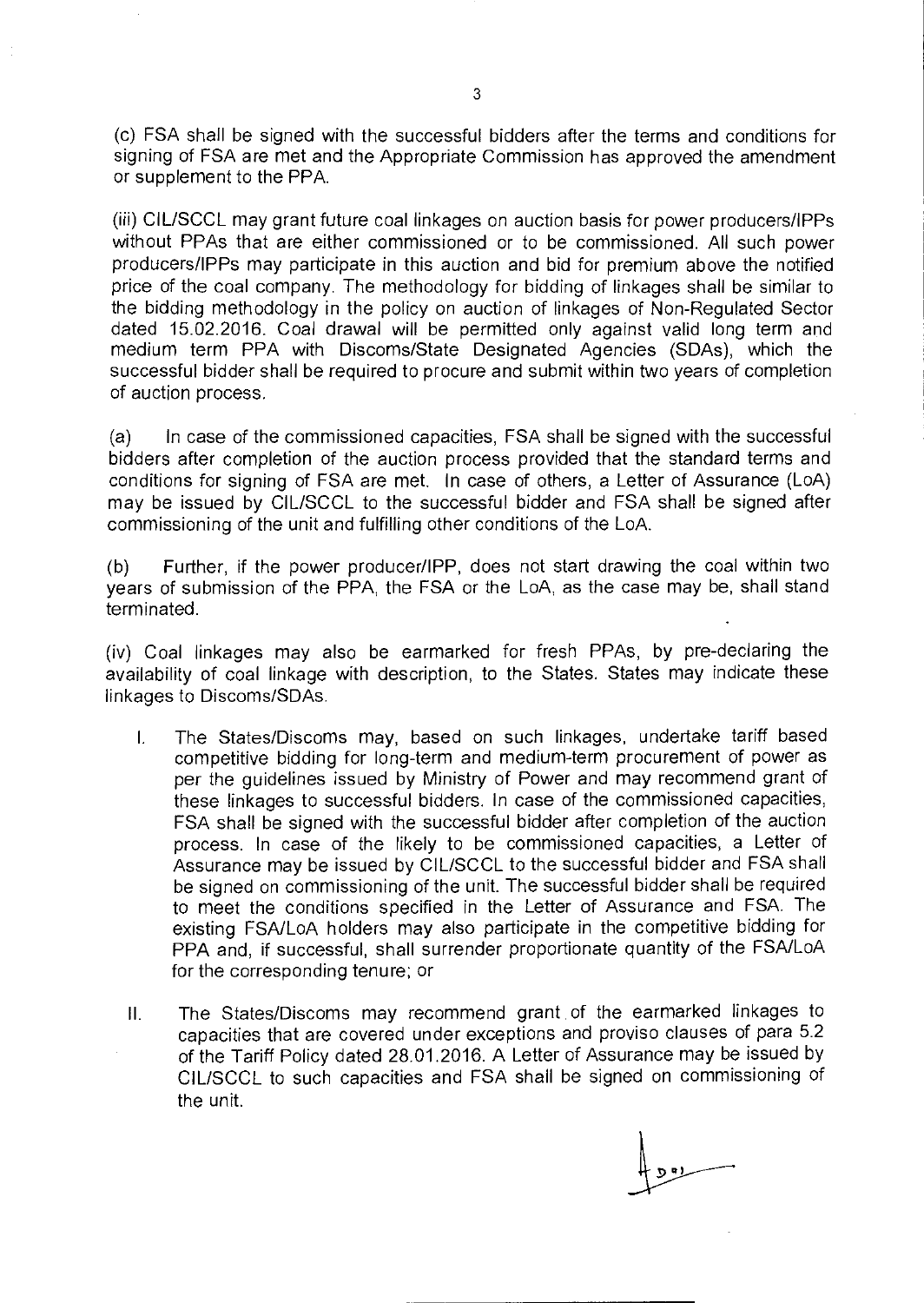(c) FSA shall be signed with the successful bidders after the terms and conditions for signing of FSA are met and the Appropriate Commission has approved the amendment or supplement to the PPA.

(iii) CIL/SCCL may grant future coal linkages on auction basis for power producers/IPPs without PPAs that are either commissioned or to be commissioned. All such power producers/IPPs may participate in this auction and bid for premium above the notified price of the coal company. The methodology for bidding of linkages shall be similar to the bidding methodology in the policy on auction of linkages of Non-Regulated Sector dated 15.02.2016. Coal drawal will be permitted only against valid long term and medium term PPA with Discoms/State Designated Agencies (SDAs), which the successful bidder shall be required to procure and submit within two years of completion of auction process.

(a) In case of the commissioned capacities, FSA shall be signed with the successful bidders after completion of the auction process provided that the standard terms and conditions for signing of FSA are met. In case of others, a Letter of Assurance (LoA) may be issued by CIL/SCCL to the successful bidder and FSA shall be signed after commissioning of the unit and fulfilling other conditions of the LoA.

(b) Further, if the power producer/IPP, does not start drawing the coal within two years of submission of the PPA, the FSA or the LoA, as the case may be, shall stand terminated.

(iv) Coal linkages may also be earmarked for fresh PPAs, by pre-declaring the availability of coal linkage with description, to the States. States may indicate these linkages to Discoms/SDAs.

- The States/Discoms may, based on such linkages, undertake tariff based  $\mathbf{L}$ competitive bidding for long-term and medium-term procurement of power as per the guidelines issued by Ministry of Power and may recommend grant of these linkages to successful bidders. In case of the commissioned capacities, FSA shall be signed with the successful bidder after completion of the auction process. In case of the likely to be commissioned capacities, a Letter of Assurance may be issued by CIL/SCCL to the successful bidder and FSA shall be signed on commissioning of the unit. The successful bidder shall be required to meet the conditions specified in the Letter of Assurance and FSA. The existing FSA/LoA holders may also participate in the competitive bidding for PPA and, if successful, shall surrender proportionate quantity of the FSA/LoA for the corresponding tenure; or
- II. The States/Discoms may recommend grant of the earmarked linkages to capacities that are covered under exceptions and proviso clauses of para 5.2 of the Tariff Policy dated 28.01.2016. A Letter of Assurance may be issued by CIL/SCCL to such capacities and FSA shall be signed on commissioning of the unit.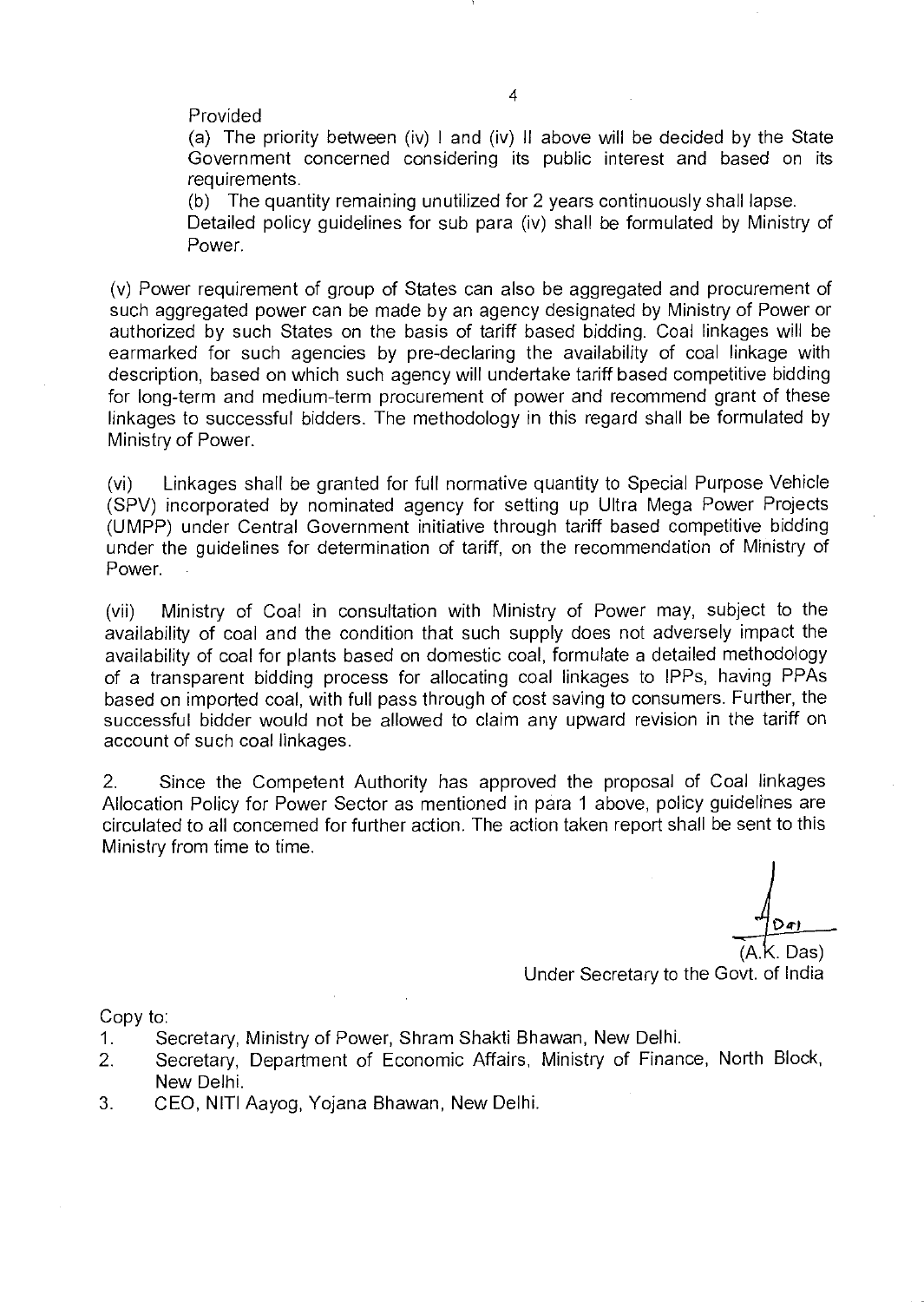## Provided

(a) The priority between (iv) I and (iv) II above will be decided by the State Government concerned considering its public interest and based on its requirements.

(b) The quantity remaining unutilized for 2 years continuously shall lapse.

Detailed policy guidelines for sub para (iv) shall be formulated by Ministry of Power.

(v) Power requirement of group of States can also be aggregated and procurement of such aggregated power can be made by an agency designated by Ministry of Power or authorized by such States on the basis of tariff based bidding. Coal linkages will be earmarked for such agencies by pre-declaring the availability of coal linkage with description, based on which such agency will undertake tariff based competitive bidding for long-term and medium-term procurement of power and recommend grant of these linkages to successful bidders. The methodology in this regard shall be formulated by Ministry of Power.

(vi) Linkages shall be granted for full normative quantity to Special Purpose Vehicle (SPV) incorporated by nominated agency for setting up Ultra Mega Power Projects (UMPP) under Central Government initiative through tariff based competitive bidding under the guidelines for determination of tariff, on the recommendation of Ministry of Power.

(vii) Ministry of Coal in consultation with Ministry of Power may, subject to the availability of coal and the condition that such supply does not adversely impact the availability of coal for plants based on domestic coal, formulate a detailed methodology of a transparent bidding process for allocating coal linkages to IPPs, having PPAs based on imported coal, with full pass through of cost saving to consumers. Further, the successful bidder would not be allowed to claim any upward revision in the tariff on account of such coal linkages.

2. Since the Competent Authority has approved the proposal of Coal linkages Allocation Policy for Power Sector as mentioned in para 1 above, policy guidelines are circulated to all concerned for further action. The action taken report shall be sent to this Ministry from time to time.

.K. Das) Under Secretary to the Govt. of India

Copy to:

- 1. Secretary, Ministry of Power, Shram Shakti Bhawan, New Delhi.
- 2. Secretary, Department of Economic Affairs, Ministry of Finance, North Block, New Delhi.
- 3. CEO, NITI Aayog, Yojana Bhawan, New Delhi.